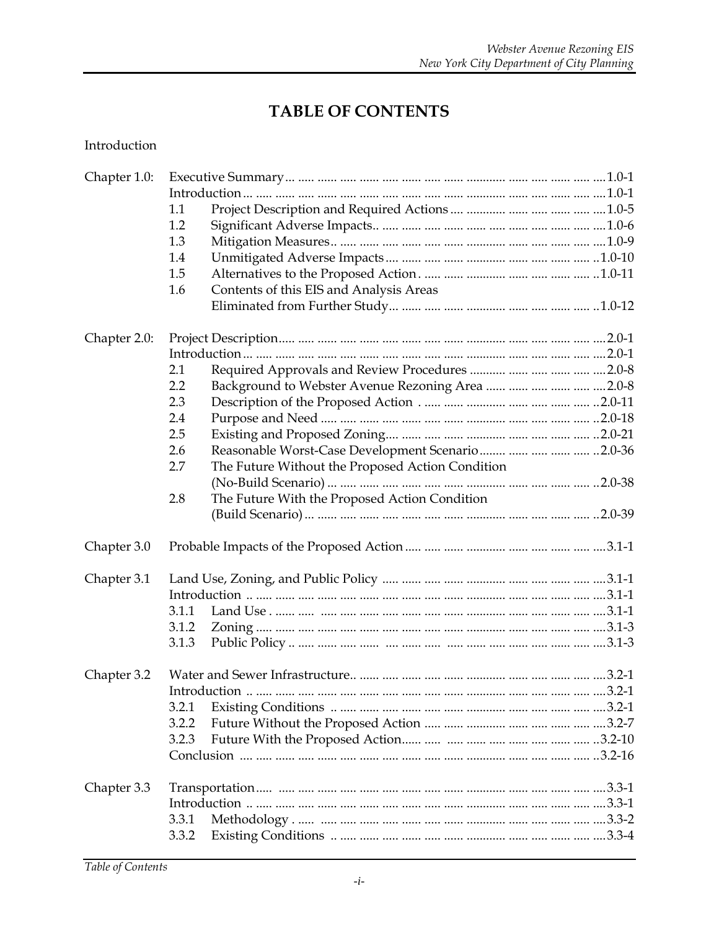# **TABLE OF CONTENTS**

#### Introduction

| Chapter 1.0: |                                                               |  |
|--------------|---------------------------------------------------------------|--|
|              | 1.1                                                           |  |
|              | 1.2                                                           |  |
|              | 1.3                                                           |  |
|              | 1.4                                                           |  |
|              | 1.5                                                           |  |
|              | Contents of this EIS and Analysis Areas<br>1.6                |  |
|              |                                                               |  |
|              |                                                               |  |
| Chapter 2.0: |                                                               |  |
|              |                                                               |  |
|              | Required Approvals and Review Procedures      2.0-8<br>2.1    |  |
|              | 2.2<br>Background to Webster Avenue Rezoning Area       2.0-8 |  |
|              | 2.3                                                           |  |
|              | 2.4                                                           |  |
|              | 2.5                                                           |  |
|              | Reasonable Worst-Case Development Scenario     2.0-36<br>2.6  |  |
|              | The Future Without the Proposed Action Condition<br>2.7       |  |
|              |                                                               |  |
|              | 2.8<br>The Future With the Proposed Action Condition          |  |
|              |                                                               |  |
|              |                                                               |  |
| Chapter 3.0  |                                                               |  |
| Chapter 3.1  |                                                               |  |
|              |                                                               |  |
|              | 3.1.1                                                         |  |
|              | 3.1.2                                                         |  |
|              | 3.1.3                                                         |  |
|              |                                                               |  |
| Chapter 3.2  |                                                               |  |
|              |                                                               |  |
|              | 3.2.1                                                         |  |
|              | 3.2.2                                                         |  |
|              | 3.2.3                                                         |  |
|              |                                                               |  |
|              |                                                               |  |
| Chapter 3.3  |                                                               |  |
|              |                                                               |  |
|              | 3.3.1                                                         |  |
|              | 3.3.2                                                         |  |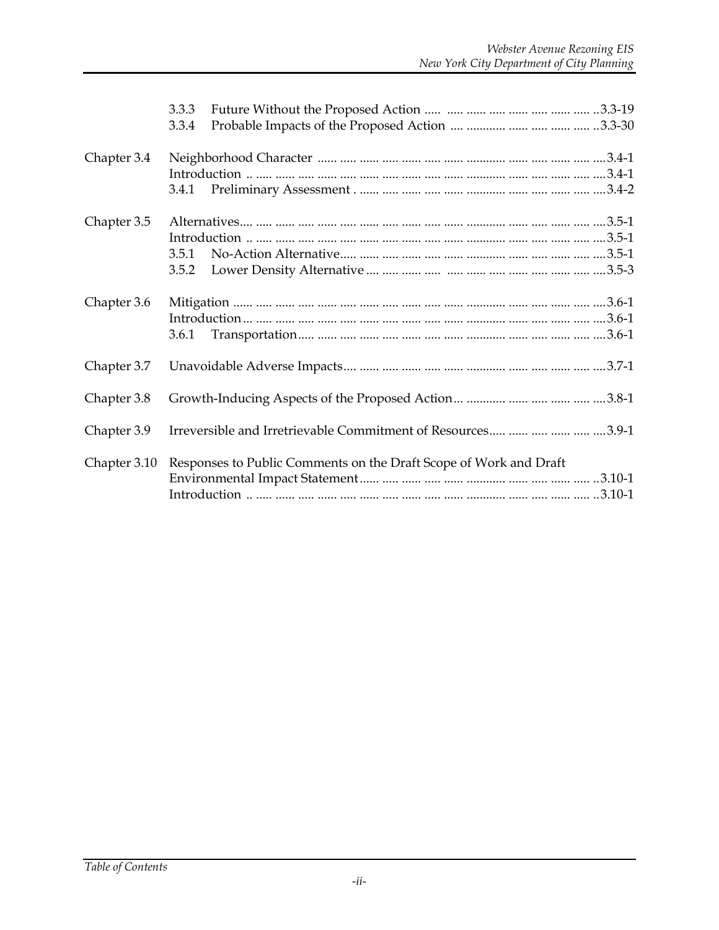|              | 3.3.3<br>3.3.4                                                    |
|--------------|-------------------------------------------------------------------|
| Chapter 3.4  | 3.4.1                                                             |
| Chapter 3.5  | 3.5.1<br>3.5.2                                                    |
| Chapter 3.6  | 3.6.1                                                             |
| Chapter 3.7  |                                                                   |
| Chapter 3.8  |                                                                   |
| Chapter 3.9  | Irreversible and Irretrievable Commitment of Resources      3.9-1 |
| Chapter 3.10 | Responses to Public Comments on the Draft Scope of Work and Draft |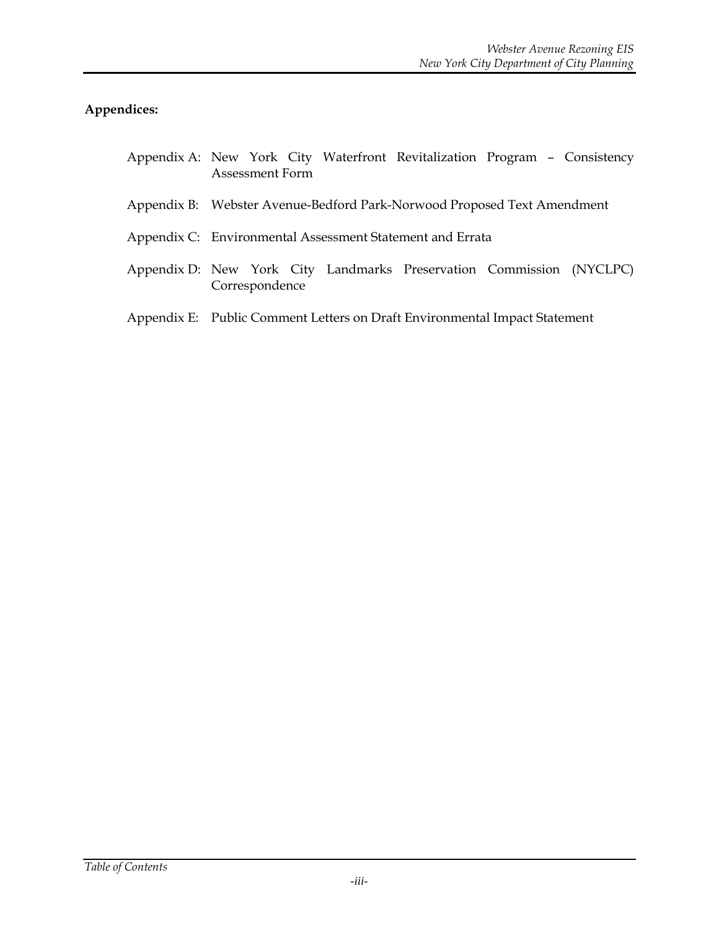# **Appendices:**

| Appendix A: New York City Waterfront Revitalization Program - Consistency<br>Assessment Form |
|----------------------------------------------------------------------------------------------|
| Appendix B: Webster Avenue-Bedford Park-Norwood Proposed Text Amendment                      |
| Appendix C: Environmental Assessment Statement and Errata                                    |
| Appendix D: New York City Landmarks Preservation Commission (NYCLPC)<br>Correspondence       |

Appendix E: Public Comment Letters on Draft Environmental Impact Statement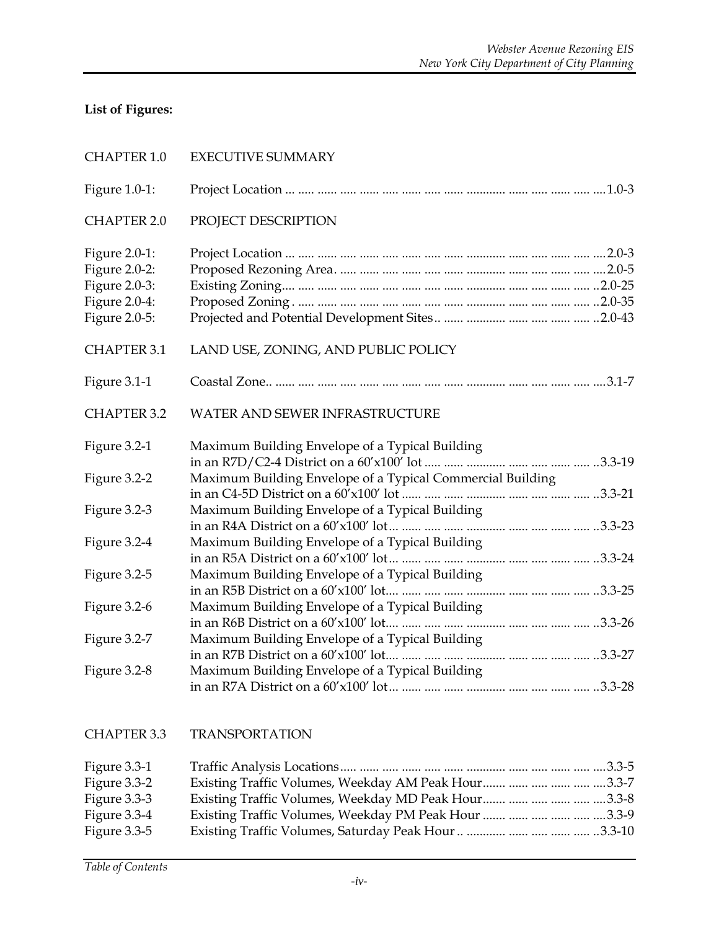## **List of Figures:**

| <b>CHAPTER 1.0</b>                                                                | <b>EXECUTIVE SUMMARY</b>                                                                                                                                                          |
|-----------------------------------------------------------------------------------|-----------------------------------------------------------------------------------------------------------------------------------------------------------------------------------|
| Figure 1.0-1:                                                                     |                                                                                                                                                                                   |
| <b>CHAPTER 2.0</b>                                                                | PROJECT DESCRIPTION                                                                                                                                                               |
| Figure 2.0-1:<br>Figure 2.0-2:<br>Figure 2.0-3:<br>Figure 2.0-4:<br>Figure 2.0-5: |                                                                                                                                                                                   |
| <b>CHAPTER 3.1</b>                                                                | LAND USE, ZONING, AND PUBLIC POLICY                                                                                                                                               |
| Figure 3.1-1                                                                      |                                                                                                                                                                                   |
| <b>CHAPTER 3.2</b>                                                                | WATER AND SEWER INFRASTRUCTURE                                                                                                                                                    |
| Figure 3.2-1                                                                      | Maximum Building Envelope of a Typical Building                                                                                                                                   |
| Figure 3.2-2                                                                      | Maximum Building Envelope of a Typical Commercial Building                                                                                                                        |
| Figure 3.2-3                                                                      | Maximum Building Envelope of a Typical Building                                                                                                                                   |
| Figure 3.2-4                                                                      | Maximum Building Envelope of a Typical Building                                                                                                                                   |
| Figure 3.2-5                                                                      | Maximum Building Envelope of a Typical Building                                                                                                                                   |
| Figure 3.2-6                                                                      | Maximum Building Envelope of a Typical Building                                                                                                                                   |
| Figure 3.2-7                                                                      | Maximum Building Envelope of a Typical Building                                                                                                                                   |
| Figure 3.2-8                                                                      | Maximum Building Envelope of a Typical Building                                                                                                                                   |
| <b>CHAPTER 3.3</b>                                                                | <b>TRANSPORTATION</b>                                                                                                                                                             |
| Figure 3.3-1                                                                      |                                                                                                                                                                                   |
|                                                                                   |                                                                                                                                                                                   |
|                                                                                   |                                                                                                                                                                                   |
|                                                                                   |                                                                                                                                                                                   |
| Figure 3.3-2<br>Figure 3.3-3<br>Figure 3.3-4<br>Figure 3.3-5                      | Existing Traffic Volumes, Weekday AM Peak Hour     3.3-7<br>Existing Traffic Volumes, Weekday MD Peak Hour     3.3-8<br>Existing Traffic Volumes, Weekday PM Peak Hour      3.3-9 |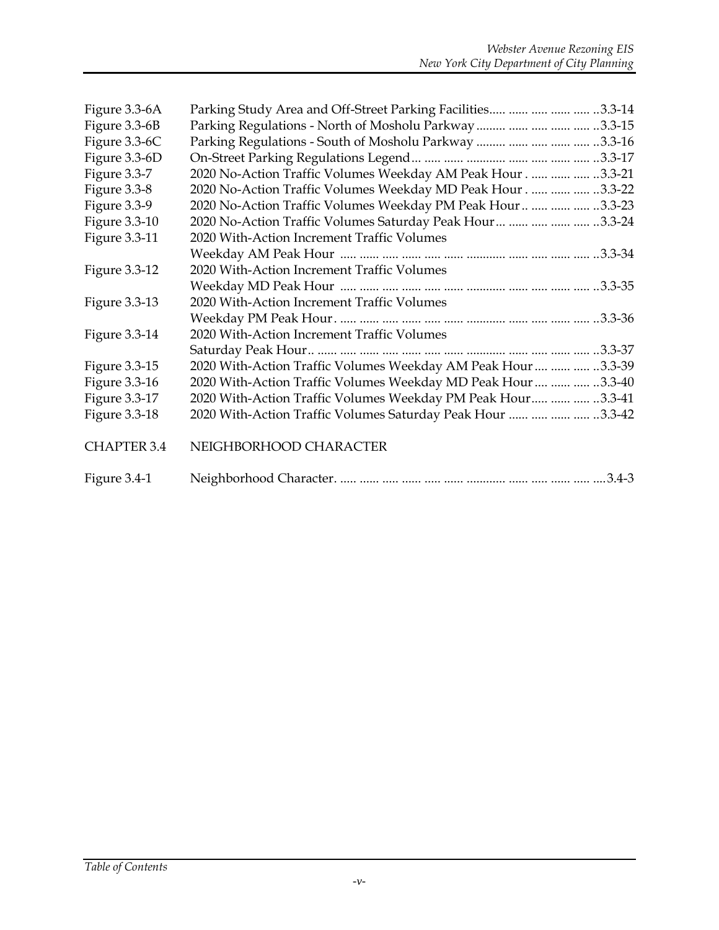| Figure 3.3-6A      | Parking Study Area and Off-Street Parking Facilities     3.3-14 |
|--------------------|-----------------------------------------------------------------|
| Figure 3.3-6B      | Parking Regulations - North of Mosholu Parkway     3.3-15       |
| Figure 3.3-6C      | Parking Regulations - South of Mosholu Parkway      3.3-16      |
| Figure 3.3-6D      |                                                                 |
| Figure 3.3-7       | 2020 No-Action Traffic Volumes Weekday AM Peak Hour   3.3-21    |
| Figure 3.3-8       | 2020 No-Action Traffic Volumes Weekday MD Peak Hour   3.3-22    |
| Figure 3.3-9       | 2020 No-Action Traffic Volumes Weekday PM Peak Hour     3.3-23  |
| Figure 3.3-10      | 2020 No-Action Traffic Volumes Saturday Peak Hour     3.3-24    |
| Figure 3.3-11      | 2020 With-Action Increment Traffic Volumes                      |
|                    |                                                                 |
| Figure 3.3-12      | 2020 With-Action Increment Traffic Volumes                      |
|                    |                                                                 |
| Figure 3.3-13      | 2020 With-Action Increment Traffic Volumes                      |
|                    |                                                                 |
| Figure 3.3-14      | 2020 With-Action Increment Traffic Volumes                      |
|                    |                                                                 |
| Figure 3.3-15      | 2020 With-Action Traffic Volumes Weekday AM Peak Hour    3.3-39 |
| Figure 3.3-16      | 2020 With-Action Traffic Volumes Weekday MD Peak Hour    3.3-40 |
| Figure 3.3-17      | 2020 With-Action Traffic Volumes Weekday PM Peak Hour   3.3-41  |
| Figure 3.3-18      | 2020 With-Action Traffic Volumes Saturday Peak Hour     .3.3-42 |
| <b>CHAPTER 3.4</b> | NEIGHBORHOOD CHARACTER                                          |
| Figure 3.4-1       |                                                                 |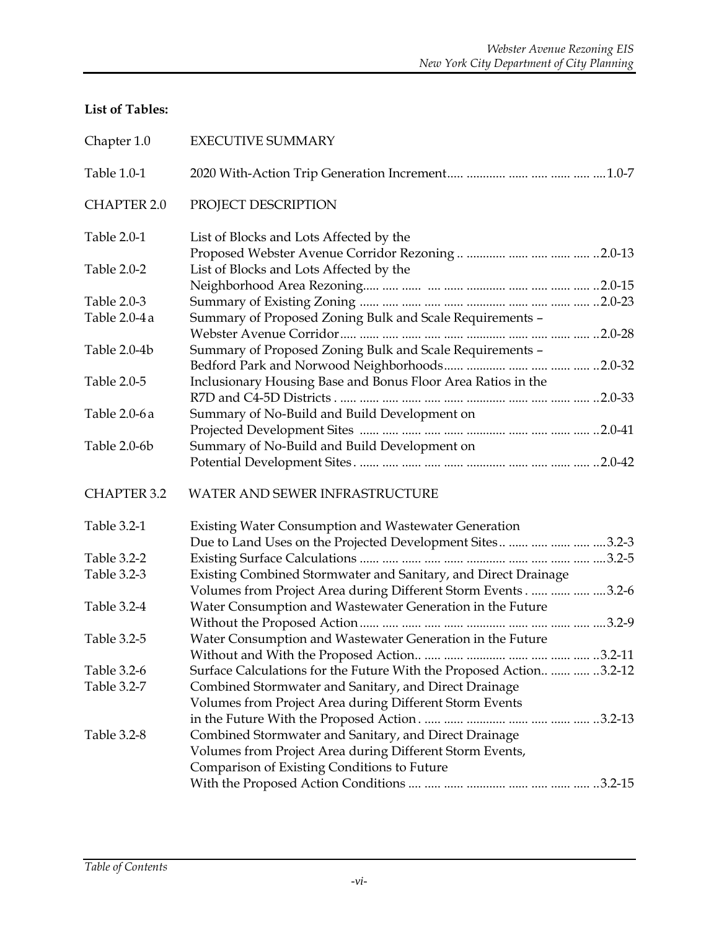## **List of Tables:**

| Chapter 1.0        | <b>EXECUTIVE SUMMARY</b>                                              |
|--------------------|-----------------------------------------------------------------------|
| Table 1.0-1        |                                                                       |
| <b>CHAPTER 2.0</b> | PROJECT DESCRIPTION                                                   |
| Table 2.0-1        | List of Blocks and Lots Affected by the                               |
|                    |                                                                       |
| Table 2.0-2        | List of Blocks and Lots Affected by the                               |
|                    |                                                                       |
| Table 2.0-3        |                                                                       |
| Table 2.0-4 a      | Summary of Proposed Zoning Bulk and Scale Requirements -              |
|                    |                                                                       |
| Table 2.0-4b       | Summary of Proposed Zoning Bulk and Scale Requirements -              |
| Table 2.0-5        | Inclusionary Housing Base and Bonus Floor Area Ratios in the          |
|                    |                                                                       |
| Table 2.0-6 a      | Summary of No-Build and Build Development on                          |
|                    |                                                                       |
| Table 2.0-6b       | Summary of No-Build and Build Development on                          |
|                    |                                                                       |
| <b>CHAPTER 3.2</b> | WATER AND SEWER INFRASTRUCTURE                                        |
| Table 3.2-1        | Existing Water Consumption and Wastewater Generation                  |
|                    | Due to Land Uses on the Projected Development Sites     3.2-3         |
| Table 3.2-2        |                                                                       |
| Table 3.2-3        | Existing Combined Stormwater and Sanitary, and Direct Drainage        |
|                    | Volumes from Project Area during Different Storm Events   3.2-6       |
| Table 3.2-4        | Water Consumption and Wastewater Generation in the Future             |
|                    |                                                                       |
| Table 3.2-5        | Water Consumption and Wastewater Generation in the Future             |
|                    |                                                                       |
| Table 3.2-6        | Surface Calculations for the Future With the Proposed Action   3.2-12 |
| Table 3.2-7        | Combined Stormwater and Sanitary, and Direct Drainage                 |
|                    | Volumes from Project Area during Different Storm Events               |
|                    |                                                                       |
| Table 3.2-8        | Combined Stormwater and Sanitary, and Direct Drainage                 |
|                    | Volumes from Project Area during Different Storm Events,              |
|                    | Comparison of Existing Conditions to Future                           |
|                    |                                                                       |